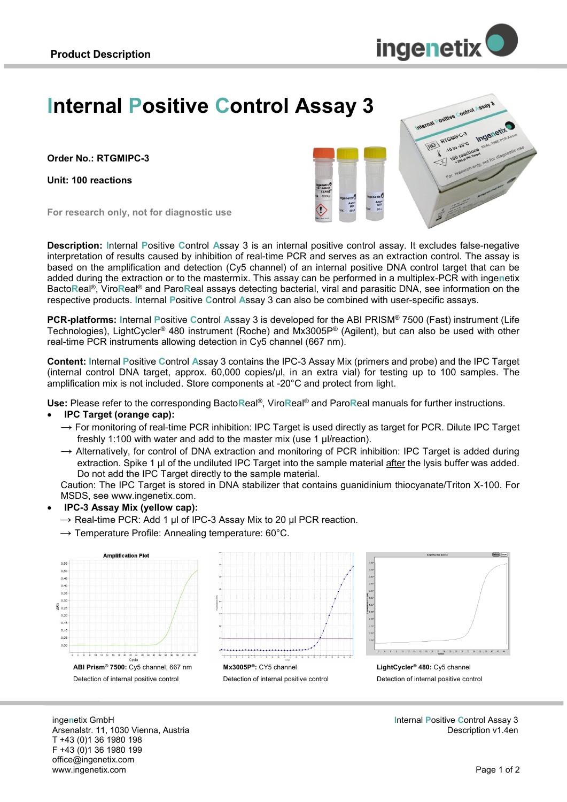

# **Internal Positive Control Assay 3**

**Order No.: RTGMIPC-3**

**Unit: 100 reactions**



**For research only, not for diagnostic use**

**Description: I**nternal **P**ositive **C**ontrol **A**ssay 3 is an internal positive control assay. It excludes false-negative interpretation of results caused by inhibition of real-time PCR and serves as an extraction control. The assay is based on the amplification and detection (Cy5 channel) of an internal positive DNA control target that can be added during the extraction or to the mastermix. This assay can be performed in a multiplex-PCR with inge**n**etix Bacto**R**eal®, Viro**R**eal® and Paro**R**eal assays detecting bacterial, viral and parasitic DNA, see information on the respective products. **I**nternal **P**ositive **C**ontrol **A**ssay 3 can also be combined with user-specific assays.

**PCR-platforms: I**nternal **P**ositive **C**ontrol **A**ssay 3 is developed for the ABI PRISM® 7500 (Fast) instrument (Life Technologies), LightCycler® 480 instrument (Roche) and Mx3005P® (Agilent), but can also be used with other real-time PCR instruments allowing detection in Cy5 channel (667 nm).

**Content: I**nternal **P**ositive **C**ontrol **A**ssay 3 contains the IPC-3 Assay Mix (primers and probe) and the IPC Target (internal control DNA target, approx. 60,000 copies/µl, in an extra vial) for testing up to 100 samples. The amplification mix is not included. Store components at -20°C and protect from light.

**Use:** Please refer to the corresponding Bacto**R**eal®, Viro**R**eal® and Paro**R**eal manuals for further instructions.

#### **IPC Target (orange cap):**

- $\rightarrow$  For monitoring of real-time PCR inhibition: IPC Target is used directly as target for PCR. Dilute IPC Target freshly 1:100 with water and add to the master mix (use 1 µl/reaction).
- $\rightarrow$  Alternatively, for control of DNA extraction and monitoring of PCR inhibition: IPC Target is added during extraction. Spike 1 µl of the undiluted IPC Target into the sample material after the lysis buffer was added. Do not add the IPC Target directly to the sample material.

Caution: The IPC Target is stored in DNA stabilizer that contains guanidinium thiocyanate/Triton X-100. For MSDS, see www.ingenetix.com.

- **IPC-3 Assay Mix (yellow cap):** 
	- $\rightarrow$  Real-time PCR: Add 1 µl of IPC-3 Assay Mix to 20 µl PCR reaction.
	- $\rightarrow$  Temperature Profile: Annealing temperature: 60°C.







**LightCycler® 480:** Cy5 channel Detection of internal positive control

inge**n**etix GmbH Arsenalstr. 11, 1030 Vienna, Austria T +43 (0)1 36 1980 198 F +43 (0)1 36 1980 199 office@ingenetix.com www.ingenetix.com

**I**nternal **P**ositive **C**ontrol Assay 3 Description v1.4en